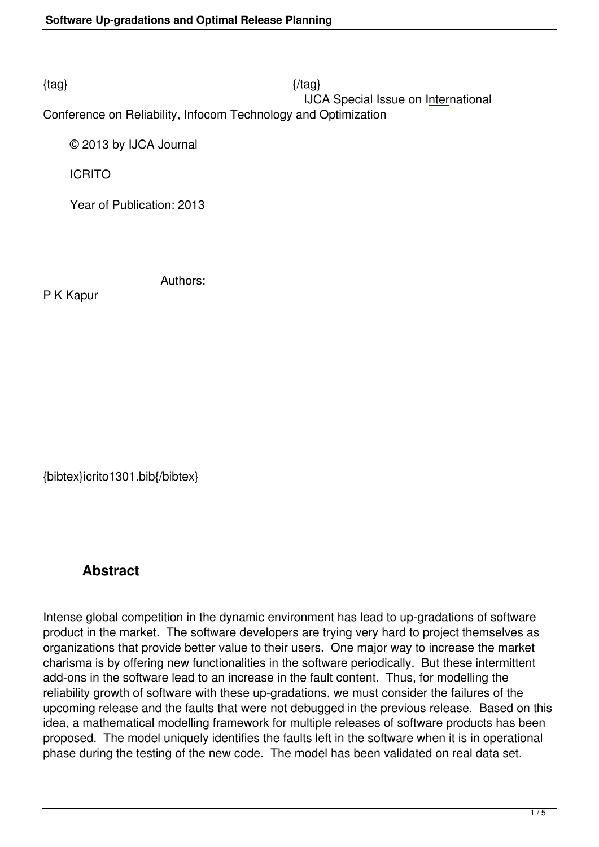$\{tag\}$ 

IJCA Special Issue on International

Conference on Reliability, Infocom Technology and Optimization

© 2013 by IJCA Journal

ICRITO

Year of Publication: 2013

Authors:

P K Kapur

{bibtex}icrito1301.bib{/bibtex}

## **Abstract**

Intense global competition in the dynamic environment has lead to up-gradations of software product in the market. The software developers are trying very hard to project themselves as organizations that provide better value to their users. One major way to increase the market charisma is by offering new functionalities in the software periodically. But these intermittent add-ons in the software lead to an increase in the fault content. Thus, for modelling the reliability growth of software with these up-gradations, we must consider the failures of the upcoming release and the faults that were not debugged in the previous release. Based on this idea, a mathematical modelling framework for multiple releases of software products has been proposed. The model uniquely identifies the faults left in the software when it is in operational phase during the testing of the new code. The model has been validated on real data set.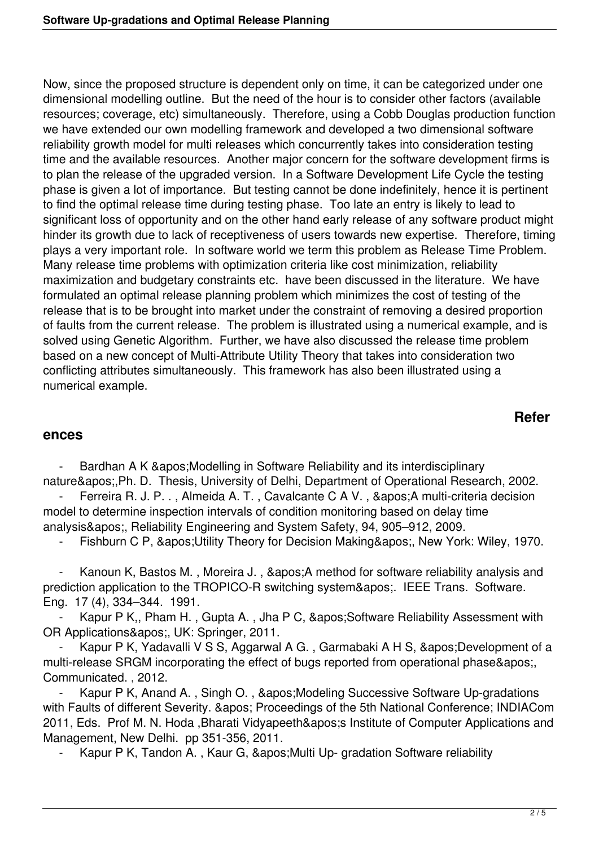Now, since the proposed structure is dependent only on time, it can be categorized under one dimensional modelling outline. But the need of the hour is to consider other factors (available resources; coverage, etc) simultaneously. Therefore, using a Cobb Douglas production function we have extended our own modelling framework and developed a two dimensional software reliability growth model for multi releases which concurrently takes into consideration testing time and the available resources. Another major concern for the software development firms is to plan the release of the upgraded version. In a Software Development Life Cycle the testing phase is given a lot of importance. But testing cannot be done indefinitely, hence it is pertinent to find the optimal release time during testing phase. Too late an entry is likely to lead to significant loss of opportunity and on the other hand early release of any software product might hinder its growth due to lack of receptiveness of users towards new expertise. Therefore, timing plays a very important role. In software world we term this problem as Release Time Problem. Many release time problems with optimization criteria like cost minimization, reliability maximization and budgetary constraints etc. have been discussed in the literature. We have formulated an optimal release planning problem which minimizes the cost of testing of the release that is to be brought into market under the constraint of removing a desired proportion of faults from the current release. The problem is illustrated using a numerical example, and is solved using Genetic Algorithm. Further, we have also discussed the release time problem based on a new concept of Multi-Attribute Utility Theory that takes into consideration two conflicting attributes simultaneously. This framework has also been illustrated using a numerical example.

## **Refer**

## **ences**

Bardhan A K & apos; Modelling in Software Reliability and its interdisciplinary nature',Ph. D. Thesis, University of Delhi, Department of Operational Research, 2002.

Ferreira R. J. P.., Almeida A. T., Cavalcante C A V., & apos; A multi-criteria decision model to determine inspection intervals of condition monitoring based on delay time analysis', Reliability Engineering and System Safety, 94, 905–912, 2009.

Fishburn C P, ' Utility Theory for Decision Making', New York: Wiley, 1970.

Kanoun K, Bastos M., Moreira J., ' A method for software reliability analysis and prediction application to the TROPICO-R switching system'. IEEE Trans. Software. Eng. 17 (4), 334–344. 1991.

Kapur P K,, Pham H., Gupta A., Jha P C, 'Software Reliability Assessment with OR Applications&apos:, UK: Springer, 2011.

Kapur P K, Yadavalli V S S, Aggarwal A G., Garmabaki A H S, 'Development of a multi-release SRGM incorporating the effect of bugs reported from operational phase' Communicated. , 2012.

Kapur P K, Anand A., Singh O., ' Modeling Successive Software Up-gradations with Faults of different Severity. & apos; Proceedings of the 5th National Conference; INDIACom 2011, Eds. Prof M. N. Hoda, Bharati Vidyapeeth' Institute of Computer Applications and Management, New Delhi. pp 351-356, 2011.

Kapur P K, Tandon A., Kaur G, ' Multi Up- gradation Software reliability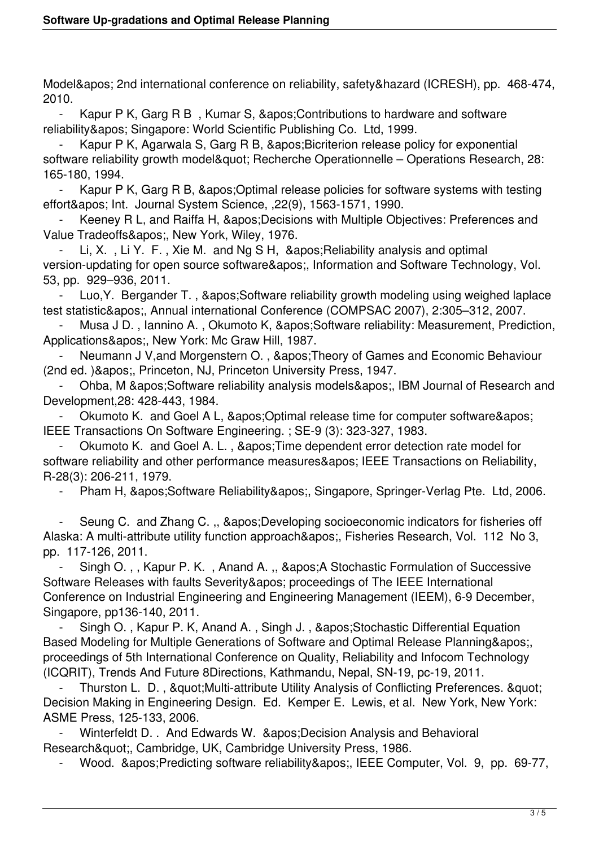Model' 2nd international conference on reliability, safety&hazard (ICRESH), pp. 468-474, 2010.

Kapur P K, Garg R B, Kumar S, ' Contributions to hardware and software reliability' Singapore: World Scientific Publishing Co. Ltd, 1999.

Kapur P K, Agarwala S, Garg R B, ' Bicriterion release policy for exponential software reliability growth model" Recherche Operationnelle – Operations Research, 28: 165-180, 1994.

Kapur P K, Garg R B, ' Optimal release policies for software systems with testing effort' Int. Journal System Science, ,22(9), 1563-1571, 1990.

Keeney R L, and Raiffa H, ' Decisions with Multiple Objectives: Preferences and Value Tradeoffs', New York, Wiley, 1976.

Li, X., Li Y., F., Xie M., and Ng S H. & apos: Reliability analysis and optimal version-updating for open source software', Information and Software Technology, Vol. 53, pp. 929–936, 2011.

Luo, Y. Bergander T., & apos: Software reliability growth modeling using weighed laplace test statistic&apos:, Annual international Conference (COMPSAC 2007), 2:305–312, 2007.

Musa J D., Iannino A., Okumoto K, 'Software reliability: Measurement, Prediction, Applications&apos:, New York: Mc Graw Hill, 1987.

Neumann J V, and Morgenstern O., & apos; Theory of Games and Economic Behaviour (2nd ed. )', Princeton, NJ, Princeton University Press, 1947.

Ohba, M ' Software reliability analysis models ', IBM Journal of Research and Development,28: 428-443, 1984.

Okumoto K. and Goel A L, ' Optimal release time for computer software' IEEE Transactions On Software Engineering. ; SE-9 (3): 323-327, 1983.

Okumoto K. and Goel A. L., &apos: Time dependent error detection rate model for software reliability and other performance measures' IEEE Transactions on Reliability, R-28(3): 206-211, 1979.

Pham H, 'Software Reliability', Singapore, Springer-Verlag Pte. Ltd, 2006.

Seung C. and Zhang C., & apos; Developing socioeconomic indicators for fisheries off Alaska: A multi-attribute utility function approach&apos:, Fisheries Research, Vol. 112 No 3, pp. 117-126, 2011.

Singh O. , , Kapur P. K., Anand A. ., &apos: A Stochastic Formulation of Successive Software Releases with faults Severity' proceedings of The IEEE International Conference on Industrial Engineering and Engineering Management (IEEM), 6-9 December, Singapore, pp136-140, 2011.

Singh O., Kapur P. K, Anand A., Singh J., ' Stochastic Differential Equation Based Modeling for Multiple Generations of Software and Optimal Release Planning', proceedings of 5th International Conference on Quality, Reliability and Infocom Technology (ICQRIT), Trends And Future 8Directions, Kathmandu, Nepal, SN-19, pc-19, 2011.

Thurston L. D., & quot: Multi-attribute Utility Analysis of Conflicting Preferences. & quot: Decision Making in Engineering Design. Ed. Kemper E. Lewis, et al. New York, New York: ASME Press, 125-133, 2006.

Winterfeldt D. . And Edwards W. &apos: Decision Analysis and Behavioral Research&quot:, Cambridge, UK, Cambridge University Press, 1986.

Wood. ' Predicting software reliability ', IEEE Computer, Vol. 9, pp. 69-77,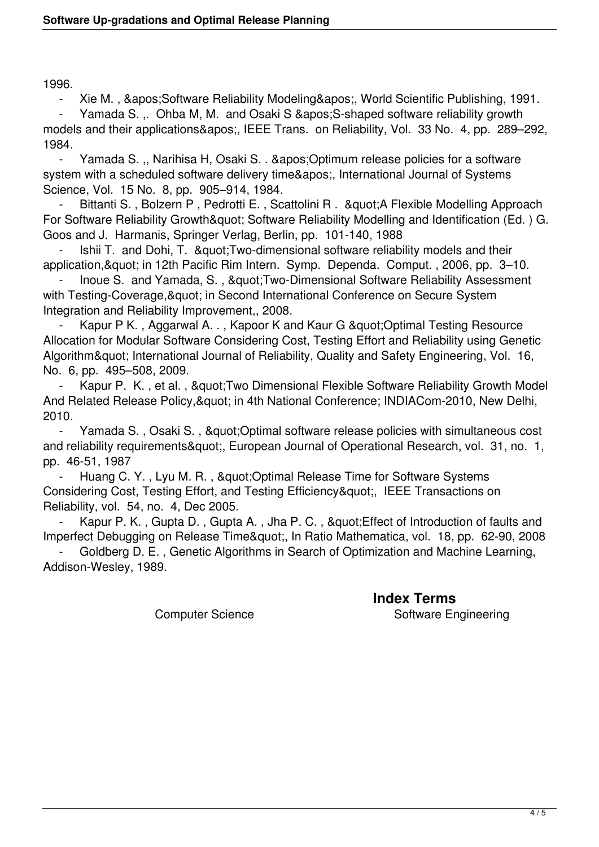1996.

Xie M., 'Software Reliability Modeling', World Scientific Publishing, 1991.

Yamada S. ,. Ohba M, M. and Osaki S ' S-shaped software reliability growth models and their applications', IEEE Trans. on Reliability, Vol. 33 No. 4, pp. 289–292, 1984.

Yamada S. ., Narihisa H, Osaki S. . 'Optimum release policies for a software system with a scheduled software delivery time&apos:, International Journal of Systems Science, Vol. 15 No. 8, pp. 905–914, 1984.

Bittanti S., Bolzern P, Pedrotti E., Scattolini R. & auot: A Flexible Modelling Approach For Software Reliability Growth & quot; Software Reliability Modelling and Identification (Ed. ) G. Goos and J. Harmanis, Springer Verlag, Berlin, pp. 101-140, 1988

Ishii T. and Dohi, T. & quot: Two-dimensional software reliability models and their application, & quot; in 12th Pacific Rim Intern. Symp. Dependa. Comput., 2006, pp. 3–10.

Inoue S. and Yamada, S., & au ot; Two-Dimensional Software Reliability Assessment with Testing-Coverage, & quot; in Second International Conference on Secure System Integration and Reliability Improvement,, 2008.

Kapur P K., Aggarwal A., Kapoor K and Kaur G & quot; Optimal Testing Resource Allocation for Modular Software Considering Cost, Testing Effort and Reliability using Genetic Algorithm" International Journal of Reliability, Quality and Safety Engineering, Vol. 16, No. 6, pp. 495–508, 2009.

Kapur P. K., et al., & quot; Two Dimensional Flexible Software Reliability Growth Model And Related Release Policy, & quot; in 4th National Conference; INDIACom-2010, New Delhi, 2010.

Yamada S., Osaki S., & quot; Optimal software release policies with simultaneous cost and reliability requirements & quot;, European Journal of Operational Research, vol. 31, no. 1, pp. 46-51, 1987

Huang C. Y., Lyu M. R., & auot; Optimal Release Time for Software Systems Considering Cost, Testing Effort, and Testing Efficiency", IEEE Transactions on Reliability, vol. 54, no. 4, Dec 2005.

Kapur P. K., Gupta D., Gupta A., Jha P. C., & quot; Effect of Introduction of faults and Imperfect Debugging on Release Time", In Ratio Mathematica, vol. 18, pp. 62-90, 2008

 - Goldberg D. E. , Genetic Algorithms in Search of Optimization and Machine Learning, Addison-Wesley, 1989.

 **Index Terms**  Computer Science Software Engineering